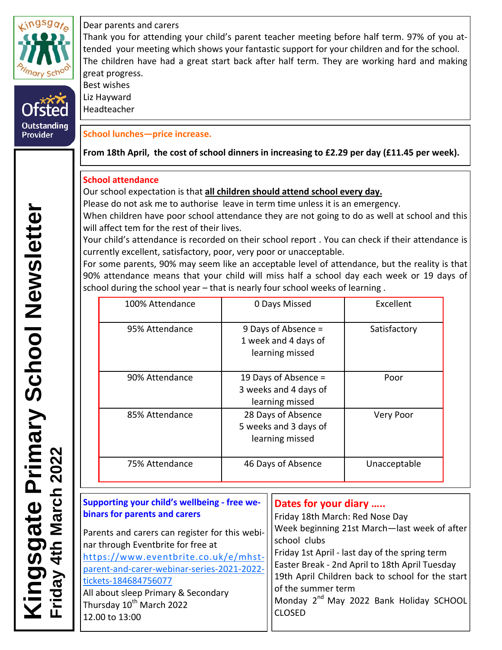

**Outstanding** Provider

Dear parents and carers Thank you for attending your child's parent teacher meeting before half term. 97% of you at‐ tended your meeting which shows your fantastic support for your children and for the school. The children have had a great start back after half term. They are working hard and making great progress.

Best wishes Liz Hayward Headteacher

## **School lunches—price increase.**

**From 18th April, the cost of school dinners in increasing to £2.29 per day (£11.45 per week).**

## **School attendance**

Our school expectation is that **all children should attend school every day.**

Please do not ask me to authorise leave in term time unless it is an emergency.

When children have poor school attendance they are not going to do as well at school and this will affect tem for the rest of their lives.

Your child's attendance is recorded on their school report . You can check if their attendance is currently excellent, satisfactory, poor, very poor or unacceptable.

For some parents, 90% may seem like an acceptable level of attendance, but the reality is that 90% attendance means that your child will miss half a school day each week or 19 days of school during the school year – that is nearly four school weeks of learning .

| 100% Attendance | 0 Days Missed                                                    | Excellent    |
|-----------------|------------------------------------------------------------------|--------------|
| 95% Attendance  | 9 Days of Absence =<br>1 week and 4 days of<br>learning missed   | Satisfactory |
| 90% Attendance  | 19 Days of Absence =<br>3 weeks and 4 days of<br>learning missed | Poor         |
| 85% Attendance  | 28 Days of Absence<br>5 weeks and 3 days of<br>learning missed   | Very Poor    |
| 75% Attendance  | 46 Days of Absence                                               | Unacceptable |

| Supporting your child's wellbeing - free we-   | Dates for your diary                                |  |
|------------------------------------------------|-----------------------------------------------------|--|
| binars for parents and carers                  | Friday 18th March: Red Nose Day                     |  |
| Parents and carers can register for this webi- | Week beginning 21st March-last week of after        |  |
| nar through Eventbrite for free at             | school clubs                                        |  |
| https://www.eventbrite.co.uk/e/mhst-           | Friday 1st April - last day of the spring term      |  |
| parent-and-carer-webinar-series-2021-2022-     | Easter Break - 2nd April to 18th April Tuesday      |  |
| tickets-184684756077                           | 19th April Children back to school for the start    |  |
| All about sleep Primary & Secondary            | of the summer term                                  |  |
| Thursday 10 <sup>th</sup> March 2022           | Monday 2 <sup>nd</sup> May 2022 Bank Holiday SCHOOL |  |
| 12.00 to 13:00                                 | <b>CLOSED</b>                                       |  |